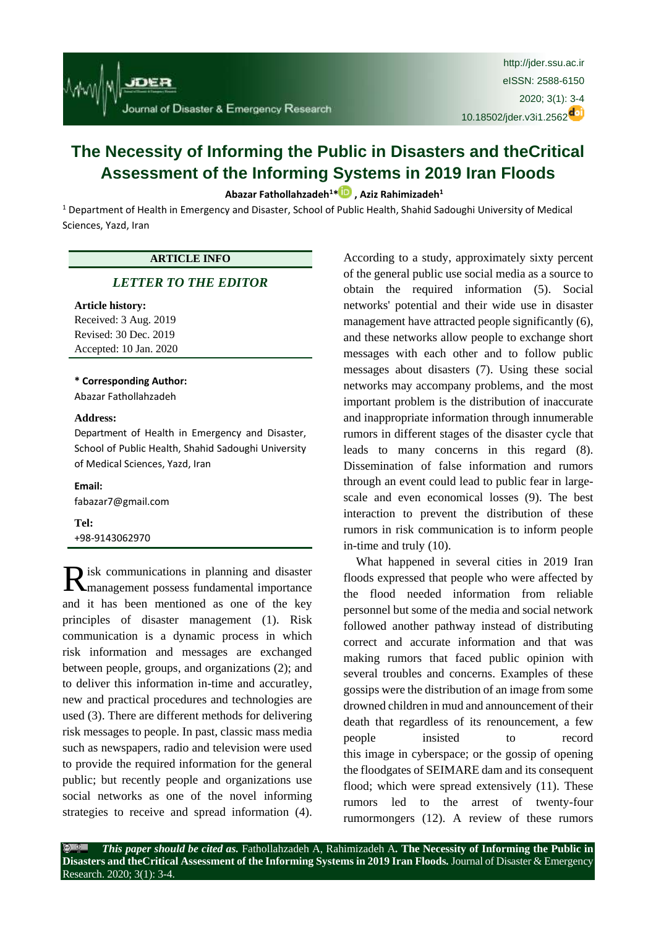

# **The Necessity of Informing the Public in Disasters and theCritical Assessment of the Informing Systems in 2019 Iran Floods**

# **[Abazar Fathollahzadeh](http://jder.ssu.ac.ir/search.php?sid=1&slc_lang=en&auth=Fathollahzadeh)<sup>1</sup>[\\*](https://orcid.org/0000-0001-7143-6934) , [Aziz Rahimizadeh](http://jder.ssu.ac.ir/search.php?sid=1&slc_lang=en&auth=Rahimizadeh)<sup>1</sup>**

<sup>1</sup> Department of Health in Emergency and Disaster, School of Public Health, Shahid Sadoughi University of Medical Sciences, Yazd, Iran

# **ARTICLE INFO**

# *[LETTER TO THE EDITOR](http://jder.ssu.ac.ir/search.php?sid=1&slc_lang=en&atcl=1&type=13)*

#### **Article history:**

Received: 3 Aug. 2019 Revised: 30 Dec. 2019 Accepted: 10 Jan. 2020

#### **\* Corresponding Author:**

[Abazar Fathollahzadeh](http://jder.ssu.ac.ir/search.php?sid=1&slc_lang=en&auth=Fathollahzadeh)

#### **Address:**

Department of Health in Emergency and Disaster, School of Public Health, Shahid Sadoughi University of Medical Sciences, Yazd, Iran

**Email:**  fabazar7@gmail.com

**Tel:** +98-9143062970

isk communications in planning and disaster Risk communications in planning and disaster<br> **R**imanagement possess fundamental importance and it has been mentioned as one of the key principles of disaster management (1). Risk communication is a dynamic process in which risk information and messages are exchanged between people, groups, and organizations (2); and to deliver this information in-time and accuratley, new and practical procedures and technologies are used (3). There are different methods for delivering risk messages to people. In past, classic mass media such as newspapers, radio and television were used to provide the required information for the general public; but recently people and organizations use social networks as one of the novel informing strategies to receive and spread information (4).

According to a study, approximately sixty percent of the general public use social media as a source to obtain the required information (5). Social networks' potential and their wide use in disaster management have attracted people significantly (6), and these networks allow people to exchange short messages with each other and to follow public messages about disasters (7). Using these social networks may accompany problems, and the most important problem is the distribution of inaccurate and inappropriate information through innumerable rumors in different stages of the disaster cycle that leads to many concerns in this regard (8). Dissemination of false information and rumors through an event could lead to public fear in largescale and even economical losses (9). The best interaction to prevent the distribution of these rumors in risk communication is to inform people in-time and truly (10).

What happened in several cities in 2019 Iran floods expressed that people who were affected by the flood needed information from reliable personnel but some of the media and social network followed another pathway instead of distributing correct and accurate information and that was making rumors that faced public opinion with several troubles and concerns. Examples of these gossips were the distribution of an image from some drowned children in mud and announcement of their death that regardless of its renouncement, a few people insisted to record this image in cyberspace; or the gossip of opening the floodgates of SEIMARE dam and its consequent flood; which were spread extensively (11). These rumors led to the arrest of twenty-four rumormongers (12). A review of these rumors